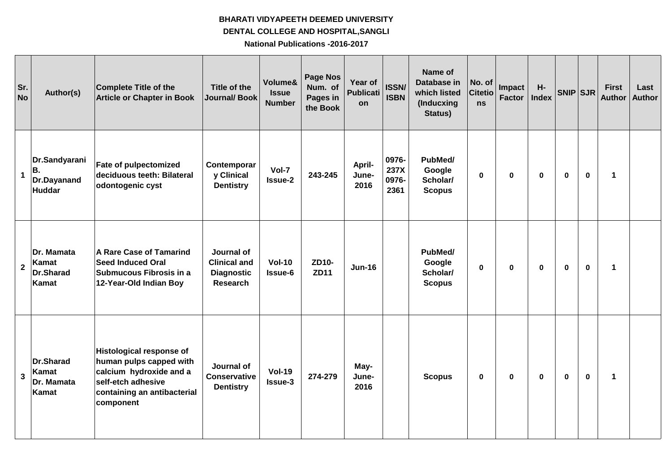## **BHARATI VIDYAPEETH DEEMED UNIVERSITY National Publications -2016-2017 DENTAL COLLEGE AND HOSPITAL,SANGLI**

| Sr.<br><b>No</b> | Author(s)                                               | Complete Title of the<br><b>Article or Chapter in Book</b>                                                                                              | Title of the<br><b>Journal/ Book</b>                                      | Volume&<br><b>Issue</b><br><b>Number</b> | <b>Page Nos</b><br>Num. of<br>Pages in<br>the Book | Year of<br><b>Publicati</b><br>on | <b>ISSN/</b><br><b>ISBN</b>    | Name of<br><b>Database in</b><br>which listed<br>(Inducxing<br>Status) | No. of<br><b>Citetio</b><br>ns | Impact<br><b>Factor</b> | H-<br><b>Index</b> | SNIP SJR     |             | <b>First</b><br><b>Author</b> | Last<br><b>Author</b> |
|------------------|---------------------------------------------------------|---------------------------------------------------------------------------------------------------------------------------------------------------------|---------------------------------------------------------------------------|------------------------------------------|----------------------------------------------------|-----------------------------------|--------------------------------|------------------------------------------------------------------------|--------------------------------|-------------------------|--------------------|--------------|-------------|-------------------------------|-----------------------|
| $\mathbf{1}$     | Dr.Sandyarani<br>В.<br>Dr.Dayanand<br>Huddar            | <b>Fate of pulpectomized</b><br>deciduous teeth: Bilateral<br>odontogenic cyst                                                                          | Contemporar<br>y Clinical<br><b>Dentistry</b>                             | Vol-7<br><b>Issue-2</b>                  | 243-245                                            | April-<br>June-<br>2016           | 0976-<br>237X<br>0976-<br>2361 | PubMed/<br>Google<br>Scholar/<br><b>Scopus</b>                         | 0                              | $\mathbf 0$             | 0                  | $\mathbf 0$  | $\mathbf 0$ | 1                             |                       |
| $\overline{2}$   | Dr. Mamata<br>Kamat<br><b>Dr.Sharad</b><br>Kamat        | <b>A Rare Case of Tamarind</b><br><b>Seed Induced Oral</b><br>Submucous Fibrosis in a<br>12-Year-Old Indian Boy                                         | Journal of<br><b>Clinical and</b><br><b>Diagnostic</b><br><b>Research</b> | <b>Vol-10</b><br>Issue-6                 | ZD10-<br><b>ZD11</b>                               | $Jun-16$                          |                                | PubMed/<br>Google<br>Scholar/<br><b>Scopus</b>                         | 0                              | $\mathbf 0$             | $\mathbf{0}$       | $\mathbf{0}$ | $\mathbf 0$ | 1                             |                       |
| 3                | <b>Dr.Sharad</b><br>Kamat<br>Dr. Mamata<br><b>Kamat</b> | <b>Histological response of</b><br>human pulps capped with<br>calcium hydroxide and a<br>self-etch adhesive<br>containing an antibacterial<br>component | Journal of<br><b>Conservative</b><br><b>Dentistry</b>                     | <b>Vol-19</b><br><b>Issue-3</b>          | 274-279                                            | May-<br>June-<br>2016             |                                | <b>Scopus</b>                                                          | 0                              | $\mathbf 0$             | 0                  | $\mathbf 0$  | $\mathbf 0$ | 1                             |                       |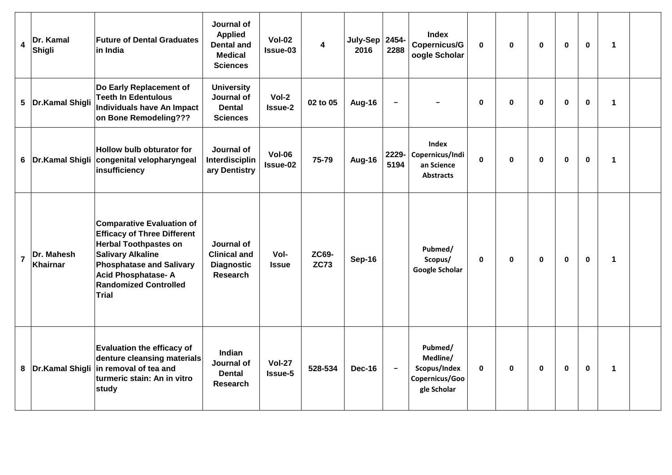| $\overline{\mathbf{4}}$ | Dr. Kamal<br>Shigli           | <b>Future of Dental Graduates</b><br>$\sf lin$ India                                                                                                                                                                                               | Journal of<br><b>Applied</b><br><b>Dental and</b><br><b>Medical</b><br><b>Sciences</b> | $Vol-02$<br>Issue-03      | $\overline{\mathbf{4}}$     | July-Sep 2454-<br>2016 | 2288                     | <b>Index</b><br>Copernicus/G<br>oogle Scholar                        | $\mathbf 0$  | $\mathbf 0$  | $\mathbf{0}$ | $\mathbf{0}$ | $\mathbf 0$ | $\mathbf 1$ |  |
|-------------------------|-------------------------------|----------------------------------------------------------------------------------------------------------------------------------------------------------------------------------------------------------------------------------------------------|----------------------------------------------------------------------------------------|---------------------------|-----------------------------|------------------------|--------------------------|----------------------------------------------------------------------|--------------|--------------|--------------|--------------|-------------|-------------|--|
| 5                       | Dr.Kamal Shigli               | Do Early Replacement of<br><b>Teeth In Edentulous</b><br><b>Individuals have An Impact</b><br>on Bone Remodeling???                                                                                                                                | <b>University</b><br>Journal of<br><b>Dental</b><br><b>Sciences</b>                    | $Vol-2$<br><b>Issue-2</b> | 02 to 05                    | <b>Aug-16</b>          | $\overline{\phantom{0}}$ |                                                                      | 0            | 0            | 0            | 0            | $\mathbf 0$ | 1           |  |
| 6                       | Dr.Kamal Shigli               | <b>Hollow bulb obturator for</b><br>congenital velopharyngeal<br>insufficiency                                                                                                                                                                     | Journal of<br>Interdisciplin<br>ary Dentistry                                          | <b>Vol-06</b><br>Issue-02 | 75-79                       | Aug-16                 | 2229-<br>5194            | Index<br>Copernicus/Indi<br>an Science<br><b>Abstracts</b>           | $\mathbf{0}$ | $\mathbf 0$  | $\mathbf{0}$ | $\mathbf{0}$ | $\mathbf 0$ | 1           |  |
| $\overline{7}$          | Dr. Mahesh<br><b>Khairnar</b> | <b>Comparative Evaluation of</b><br><b>Efficacy of Three Different</b><br><b>Herbal Toothpastes on</b><br><b>Salivary Alkaline</b><br><b>Phosphatase and Salivary</b><br><b>Acid Phosphatase-A</b><br><b>Randomized Controlled</b><br><b>Trial</b> | Journal of<br><b>Clinical and</b><br><b>Diagnostic</b><br><b>Research</b>              | Vol-<br><b>Issue</b>      | <b>ZC69-</b><br><b>ZC73</b> | Sep-16                 |                          | Pubmed/<br>Scopus/<br>Google Scholar                                 | $\mathbf{0}$ | $\mathbf 0$  | $\mathbf{0}$ | $\mathbf{0}$ | $\mathbf 0$ | $\mathbf 1$ |  |
| 8                       | Dr.Kamal Shigli               | <b>Evaluation the efficacy of</b><br>denture cleansing materials<br>in removal of tea and<br>turmeric stain: An in vitro<br>study                                                                                                                  | Indian<br>Journal of<br><b>Dental</b><br><b>Research</b>                               | <b>Vol-27</b><br>Issue-5  | 528-534                     | <b>Dec-16</b>          | $\overline{a}$           | Pubmed/<br>Medline/<br>Scopus/Index<br>Copernicus/Goo<br>gle Scholar | $\mathbf{0}$ | $\mathbf{0}$ | $\mathbf{0}$ | $\mathbf{0}$ | $\mathbf 0$ | $\mathbf 1$ |  |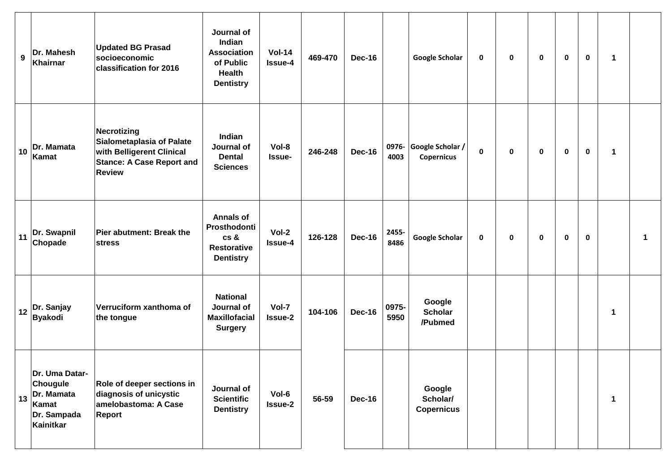| $9^{\circ}$ | Dr. Mahesh<br>Khairnar                                                        | <b>Updated BG Prasad</b><br>socioeconomic<br>classification for 2016                                                       | Journal of<br>Indian<br><b>Association</b><br>of Public<br><b>Health</b><br><b>Dentistry</b> | $Vol-14$<br><b>Issue-4</b> | 469-470 | <b>Dec-16</b> |               | Google Scholar                          | 0 | 0           | 0           | 0           | 0           | 1           |             |
|-------------|-------------------------------------------------------------------------------|----------------------------------------------------------------------------------------------------------------------------|----------------------------------------------------------------------------------------------|----------------------------|---------|---------------|---------------|-----------------------------------------|---|-------------|-------------|-------------|-------------|-------------|-------------|
| 10          | Dr. Mamata<br>Kamat                                                           | Necrotizing<br>Sialometaplasia of Palate<br>with Belligerent Clinical<br><b>Stance: A Case Report and</b><br><b>Review</b> | Indian<br>Journal of<br><b>Dental</b><br><b>Sciences</b>                                     | Vol-8<br>Issue-            | 246-248 | <b>Dec-16</b> | 0976-<br>4003 | Google Scholar /<br><b>Copernicus</b>   | 0 | $\mathbf 0$ | $\mathbf 0$ | $\mathbf 0$ | $\mathbf 0$ | $\mathbf 1$ |             |
| 11          | Dr. Swapnil<br>Chopade                                                        | Pier abutment: Break the<br>stress                                                                                         | <b>Annals of</b><br>Prosthodonti<br>cs &<br><b>Restorative</b><br><b>Dentistry</b>           | Vol-2<br><b>Issue-4</b>    | 126-128 | <b>Dec-16</b> | 2455-<br>8486 | Google Scholar                          | 0 | 0           | $\mathbf 0$ | 0           | 0           |             | $\mathbf 1$ |
| 12          | Dr. Sanjay<br><b>Byakodi</b>                                                  | Verruciform xanthoma of<br>the tongue                                                                                      | <b>National</b><br>Journal of<br><b>Maxillofacial</b><br><b>Surgery</b>                      | Vol-7<br><b>Issue-2</b>    | 104-106 | <b>Dec-16</b> | 0975-<br>5950 | Google<br><b>Scholar</b><br>/Pubmed     |   |             |             |             |             | 1           |             |
| 13          | Dr. Uma Datar-<br>Chougule<br>Dr. Mamata<br>Kamat<br>Dr. Sampada<br>Kainitkar | <b>Role of deeper sections in</b><br>diagnosis of unicystic<br>amelobastoma: A Case<br>Report                              | Journal of<br><b>Scientific</b><br><b>Dentistry</b>                                          | Vol-6<br><b>Issue-2</b>    | 56-59   | <b>Dec-16</b> |               | Google<br>Scholar/<br><b>Copernicus</b> |   |             |             |             |             | 1           |             |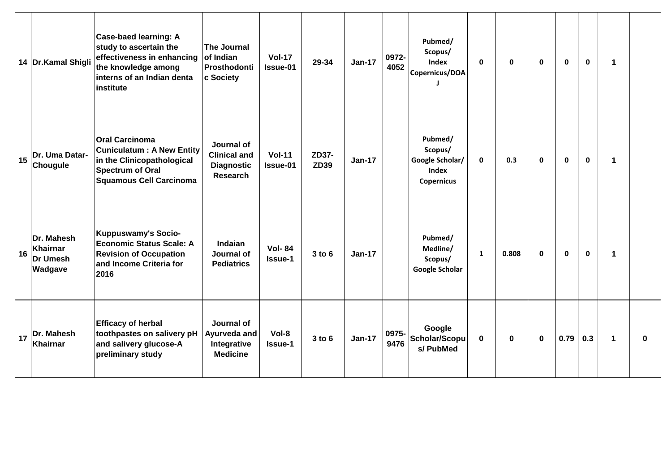|    | 14 Dr.Kamal Shigli                            | Case-baed learning: A<br>study to ascertain the<br>effectiveness in enhancing<br>the knowledge among<br>interns of an Indian denta<br>institute      | The Journal<br>of Indian<br>Prosthodonti<br>c Society                     | <b>Vol-17</b><br>Issue-01       | 29-34                | $Jan-17$      | 0972-<br>4052 | Pubmed/<br>Scopus/<br>Index<br>Copernicus/DOA                | $\mathbf{0}$ | $\mathbf{0}$ | $\mathbf{0}$ | $\mathbf{0}$ | $\mathbf 0$ | $\mathbf 1$ |          |
|----|-----------------------------------------------|------------------------------------------------------------------------------------------------------------------------------------------------------|---------------------------------------------------------------------------|---------------------------------|----------------------|---------------|---------------|--------------------------------------------------------------|--------------|--------------|--------------|--------------|-------------|-------------|----------|
| 15 | Dr. Uma Datar-<br>Chougule                    | <b>Oral Carcinoma</b><br><b>Cuniculatum: A New Entity</b><br>in the Clinicopathological<br><b>Spectrum of Oral</b><br><b>Squamous Cell Carcinoma</b> | Journal of<br><b>Clinical and</b><br><b>Diagnostic</b><br><b>Research</b> | <b>Vol-11</b><br>Issue-01       | ZD37-<br><b>ZD39</b> | <b>Jan-17</b> |               | Pubmed/<br>Scopus/<br>Google Scholar/<br>Index<br>Copernicus | $\mathbf 0$  | 0.3          | $\mathbf{0}$ | $\mathbf 0$  | $\mathbf 0$ | 1           |          |
| 16 | Dr. Mahesh<br>Khairnar<br>Dr Umesh<br>Wadgave | <b>Kuppuswamy's Socio-</b><br><b>Economic Status Scale: A</b><br><b>Revision of Occupation</b><br>and Income Criteria for<br>2016                    | <b>Indaian</b><br>Journal of<br><b>Pediatrics</b>                         | <b>Vol-84</b><br><b>Issue-1</b> | 3 to 6               | $Jan-17$      |               | Pubmed/<br>Medline/<br>Scopus/<br><b>Google Scholar</b>      | $\mathbf{1}$ | 0.808        | $\mathbf 0$  | $\mathbf 0$  | $\mathbf 0$ | 1           |          |
| 17 | Dr. Mahesh<br><b>Khairnar</b>                 | <b>Efficacy of herbal</b><br>toothpastes on salivery pH<br>and salivery glucose-A<br>preliminary study                                               | Journal of<br>Ayurveda and<br>Integrative<br><b>Medicine</b>              | Vol-8<br><b>Issue-1</b>         | $3$ to $6$           | <b>Jan-17</b> | 0975-<br>9476 | Google<br>Scholar/Scopu<br>s/ PubMed                         | $\mathbf 0$  | $\mathbf 0$  | $\mathbf{0}$ | 0.79         | 0.3         | $\mathbf 1$ | $\bf{0}$ |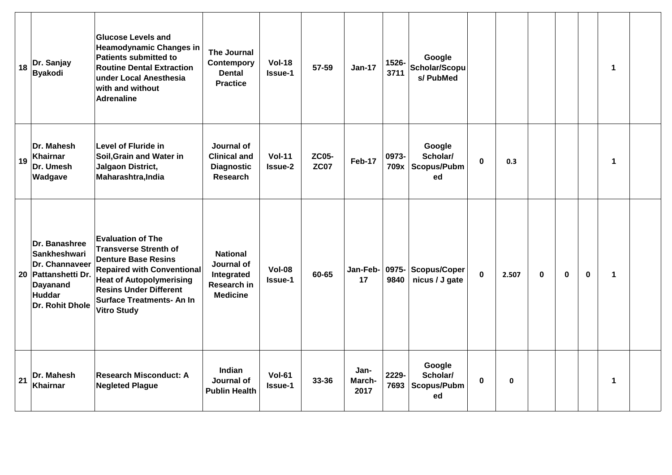| 18 | Dr. Sanjay<br><b>Byakodi</b>                                                                                           | <b>Glucose Levels and</b><br><b>Heamodynamic Changes in</b><br><b>Patients submitted to</b><br><b>Routine Dental Extraction</b><br>under Local Anesthesia<br>with and without<br><b>Adrenaline</b>                                                        | The Journal<br>Contempory<br><b>Dental</b><br><b>Practice</b>                 | <b>Vol-18</b><br><b>Issue-1</b> | 57-59                       | $Jan-17$               | 1526-<br>3711 | Google<br>Scholar/Scopu<br>s/ PubMed    |             |             |             |          |             | 1           |
|----|------------------------------------------------------------------------------------------------------------------------|-----------------------------------------------------------------------------------------------------------------------------------------------------------------------------------------------------------------------------------------------------------|-------------------------------------------------------------------------------|---------------------------------|-----------------------------|------------------------|---------------|-----------------------------------------|-------------|-------------|-------------|----------|-------------|-------------|
| 19 | Dr. Mahesh<br>Khairnar<br>Dr. Umesh<br>Wadgave                                                                         | <b>Level of Fluride in</b><br>Soil, Grain and Water in<br>Jalgaon District,<br>Maharashtra, India                                                                                                                                                         | Journal of<br><b>Clinical and</b><br><b>Diagnostic</b><br><b>Research</b>     | <b>Vol-11</b><br><b>Issue-2</b> | <b>ZC05-</b><br><b>ZC07</b> | Feb-17                 | 0973-<br>709x | Google<br>Scholar/<br>Scopus/Pubm<br>ed | $\bf{0}$    | 0.3         |             |          |             | $\mathbf 1$ |
|    | Dr. Banashree<br>Sankheshwari<br>Dr. Channaveer<br>20 Pattanshetti Dr.<br><b>Dayanand</b><br>Huddar<br>Dr. Rohit Dhole | <b>Evaluation of The</b><br><b>Transverse Strenth of</b><br><b>Denture Base Resins</b><br><b>Repaired with Conventional</b><br><b>Heat of Autopolymerising</b><br><b>Resins Under Different</b><br><b>Surface Treatments- An In</b><br><b>Vitro Study</b> | <b>National</b><br>Journal of<br>Integrated<br>Research in<br><b>Medicine</b> | <b>Vol-08</b><br><b>Issue-1</b> | 60-65                       | Jan-Feb-<br>17         | 0975-<br>9840 | <b>Scopus/Coper</b><br>nicus / J gate   | $\mathbf 0$ | 2.507       | $\mathbf 0$ | $\bf{0}$ | $\mathbf 0$ | $\mathbf 1$ |
| 21 | Dr. Mahesh<br><b>Khairnar</b>                                                                                          | <b>Research Misconduct: A</b><br><b>Negleted Plague</b>                                                                                                                                                                                                   | Indian<br>Journal of<br><b>Publin Health</b>                                  | <b>Vol-61</b><br><b>Issue-1</b> | 33-36                       | Jan-<br>March-<br>2017 | 2229-<br>7693 | Google<br>Scholar/<br>Scopus/Pubm<br>ed | $\mathbf 0$ | $\mathbf 0$ |             |          |             | $\mathbf 1$ |